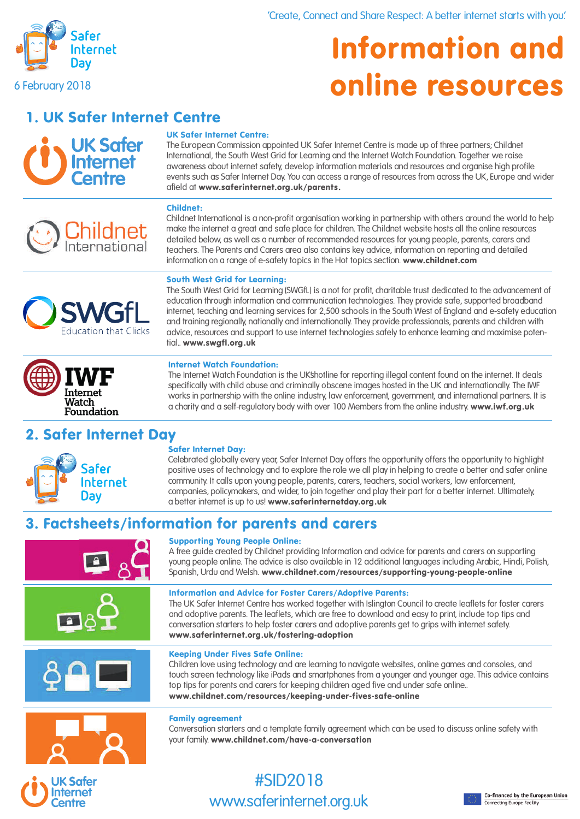

# Information and online resources

1. UK Safer Internet Centre

**UK Safer** Internet

#### UK Safer Internet Centre:

**The European Commission appointed UK Safer Internet Centre is made up of three partners; Childnet International, the South West Grid for Learning and the Internet Watch Foundation. Together we raise awareness about internet safety, develop information materials and resources and organise high profile events such as Safer Internet Day. You can access a range of resources from across the UK, Europe and wider afield at** www.saferinternet.org.uk/parents.

#### Childnet:



**Childnet International is a non-profit organisation working in partnership with others around the world to help make the internet a great and safe place for children. The Childnet website hosts all the online resources detailed below, as well as a number of recommended resources for young people, parents, carers and teachers. The Parents and Carers area also contains key advice, information on reporting and detailed information on a range of e-safety topics in the Hot topics section.** www.childnet.com

#### South West Grid for Learning:

**Education that Clicks** 

**The South West Grid for Learning (SWGfL) is a not for profit, charitable trust dedicated to the advancement of education through information and communication technologies. They provide safe, supported broadband internet, teaching and learning services for 2,500 schools in the South West of England and e-safety education and training regionally, nationally and internationally. They provide professionals, parents and children with advice, resources and support to use internet technologies safely to enhance learning and maximise potential..** www.swgfl.org.uk

#### Internet Watch Foundation:

**The Internet Watch Foundation is the UK'shotline for reporting illegal content found on the internet. It deals specifically with child abuse and criminally obscene images hosted in the UK and internationally. The IWF works in partnership with the online industry, law enforcement, government, and international partners. It is**  a charity and a self-regulatory body with over 100 Members from the online industry. **www.iwf.org.uk** 

## 2. Safer Internet Day afer

Internet Dav

**Internet Watch** Foundation

#### Safer Internet Day:

**Celebrated globally every year, Safer Internet Day offers the opportunity offers the opportunity to highlight positive uses of technology and to explore the role we all play in helping to create a better and safer online community. It calls upon young people, parents, carers, teachers, social workers, law enforcement, companies, policymakers, and wider, to join together and play their part for a better internet. Ultimately, a better internet is up to us!** www.saferinternetday.org.uk

### 3. Factsheets/information for parents and carers

#### Supporting Young People Online:

**A free guide created by Childnet providing Information and advice for parents and carers on supporting young people online. The advice is also available in 12 additional languages including Arabic, Hindi, Polish, Spanish, Urdu and Welsh.** www.childnet.com/resources/supporting-young-people-online

#### Information and Advice for Foster Carers/Adoptive Parents:

**The UK Safer Internet Centre has worked together with Islington Council to create leaflets for foster carers and adoptive parents. The leaflets, which are free to download and easy to print, include top tips and conversation starters to help foster carers and adoptive parents get to grips with internet safety.** www.saferinternet.org.uk/fostering-adoption



#### Keeping Under Fives Safe Online:

**Children love using technology and are learning to navigate websites, online games and consoles, and touch screen technology like iPads and smartphones from a younger and younger age. This advice contains top tips for parents and carers for keeping children aged five and under safe online..** www.childnet.com/resources/keeping-under-fives-safe-online

#### Family agreement

**Conversation starters and a template family agreement which can be used to discuss online safety with your family.** www.childnet.com/have-a-conversation

### **UK Safer Internet Centre**

## **#SID2018 www.saferinternet.org.uk**